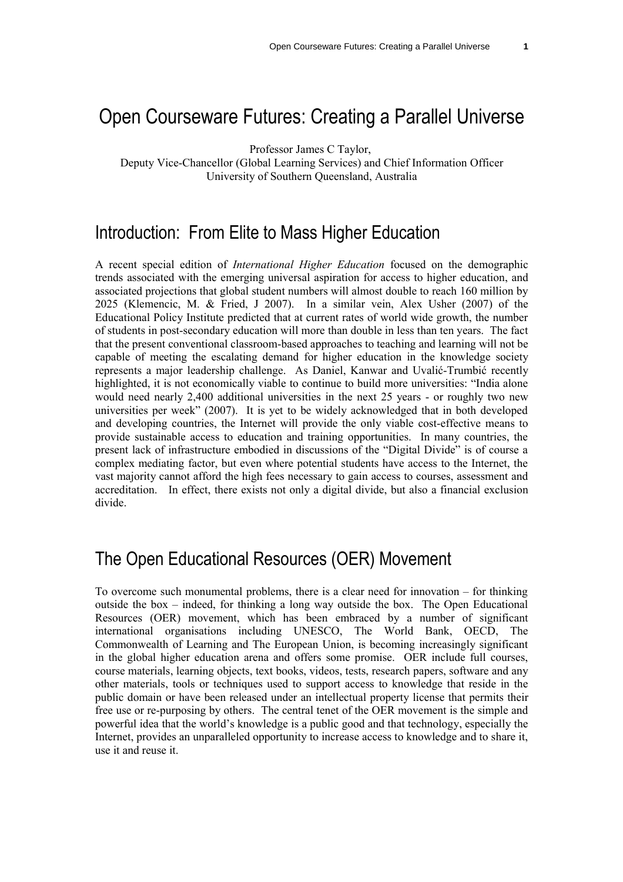# Open Courseware Futures: Creating a Parallel Universe

Professor James C Taylor,

Deputy Vice-Chancellor (Global Learning Services) and Chief Information Officer University of Southern Queensland, Australia

### Introduction: From Elite to Mass Higher Education

A recent special edition of *International Higher Education* focused on the demographic trends associated with the emerging universal aspiration for access to higher education, and associated projections that global student numbers will almost double to reach 160 million by 2025 (Klemencic, M. & Fried, J 2007). In a similar vein, Alex Usher (2007) of the Educational Policy Institute predicted that at current rates of world wide growth, the number of students in post-secondary education will more than double in less than ten years. The fact that the present conventional classroom-based approaches to teaching and learning will not be capable of meeting the escalating demand for higher education in the knowledge society represents a major leadership challenge. As Daniel, Kanwar and Uvalić-Trumbić recently highlighted, it is not economically viable to continue to build more universities: "India alone would need nearly 2,400 additional universities in the next 25 years - or roughly two new universities per week" (2007). It is yet to be widely acknowledged that in both developed and developing countries, the Internet will provide the only viable cost-effective means to provide sustainable access to education and training opportunities. In many countries, the present lack of infrastructure embodied in discussions of the "Digital Divide" is of course a complex mediating factor, but even where potential students have access to the Internet, the vast majority cannot afford the high fees necessary to gain access to courses, assessment and accreditation. In effect, there exists not only a digital divide, but also a financial exclusion divide.

## The Open Educational Resources (OER) Movement

To overcome such monumental problems, there is a clear need for innovation – for thinking outside the box – indeed, for thinking a long way outside the box. The Open Educational Resources (OER) movement, which has been embraced by a number of significant international organisations including UNESCO, The World Bank, OECD, The Commonwealth of Learning and The European Union, is becoming increasingly significant in the global higher education arena and offers some promise. OER include full courses, course materials, learning objects, text books, videos, tests, research papers, software and any other materials, tools or techniques used to support access to knowledge that reside in the public domain or have been released under an intellectual property license that permits their free use or re-purposing by others. The central tenet of the OER movement is the simple and powerful idea that the world's knowledge is a public good and that technology, especially the Internet, provides an unparalleled opportunity to increase access to knowledge and to share it, use it and reuse it.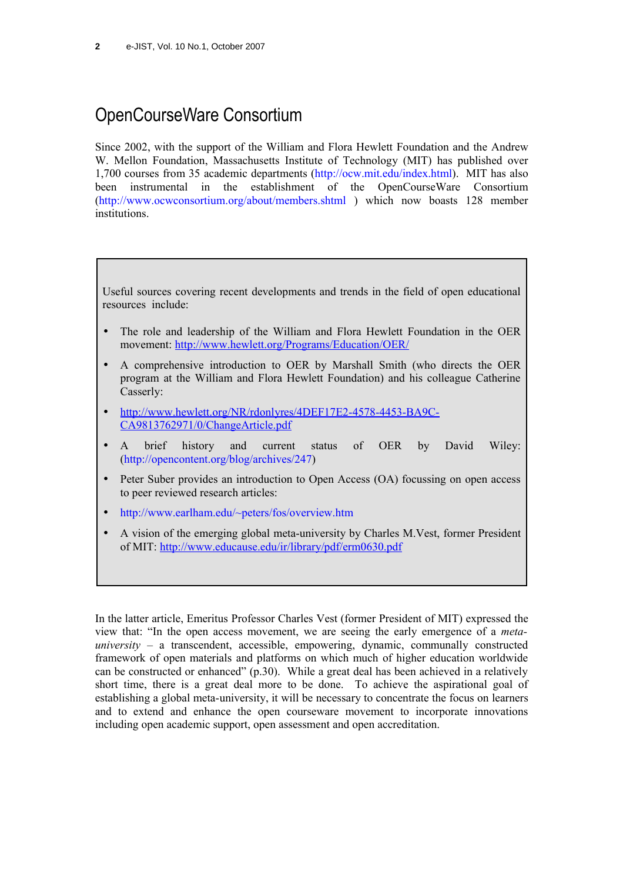# OpenCourseWare Consortium

Since 2002, with the support of the William and Flora Hewlett Foundation and the Andrew W. Mellon Foundation, Massachusetts Institute of Technology (MIT) has published over 1,700 courses from 35 academic departments [\(http://ocw.mit.edu/index.html\)](http://ocw.mit.edu/index.html). MIT has also been instrumental in the establishment of the OpenCourseWare Consortium [\(http://www.ocwconsortium.org/about/members.shtml](http://www.ocwconsortium.org/about/members.shtml) ) which now boasts 128 member institutions.

Useful sources covering recent developments and trends in the field of open educational resources include:

- The role and leadership of the William and Flora Hewlett Foundation in the OER movement: <http://www.hewlett.org/Programs/Education/OER/>
- A comprehensive introduction to OER by Marshall Smith (who directs the OER program at the William and Flora Hewlett Foundation) and his colleague Catherine Casserly:
- • [http://www.hewlett.org/NR/rdonlyres/4DEF17E2-4578-4453-BA9C-](http://www.hewlett.org/NR/rdonlyres/4DEF17E2-4578-4453-BA9C-CA9813762971/0/ChangeArticle.pdf)[CA9813762971/0/ChangeArticle.pdf](http://www.hewlett.org/NR/rdonlyres/4DEF17E2-4578-4453-BA9C-CA9813762971/0/ChangeArticle.pdf)
- A brief history and current status of OER by David Wiley: [\(http://opencontent.org/blog/archives/247\)](http://opencontent.org/blog/archives/247)
- Peter Suber provides an introduction to Open Access (OA) focussing on open access to peer reviewed research articles:
- <http://www.earlham.edu/~peters/fos/overview.htm>
- A vision of the emerging global meta-university by Charles M.Vest, former President of MIT:<http://www.educause.edu/ir/library/pdf/erm0630.pdf>

In the latter article, Emeritus Professor Charles Vest (former President of MIT) expressed the view that: "In the open access movement, we are seeing the early emergence of a *meta* $university - a transcendent, accessible, empowering, dynamic, commonly constructed$ framework of open materials and platforms on which much of higher education worldwide can be constructed or enhanced" (p.30). While a great deal has been achieved in a relatively short time, there is a great deal more to be done. To achieve the aspirational goal of establishing a global meta-university, it will be necessary to concentrate the focus on learners and to extend and enhance the open courseware movement to incorporate innovations including open academic support, open assessment and open accreditation.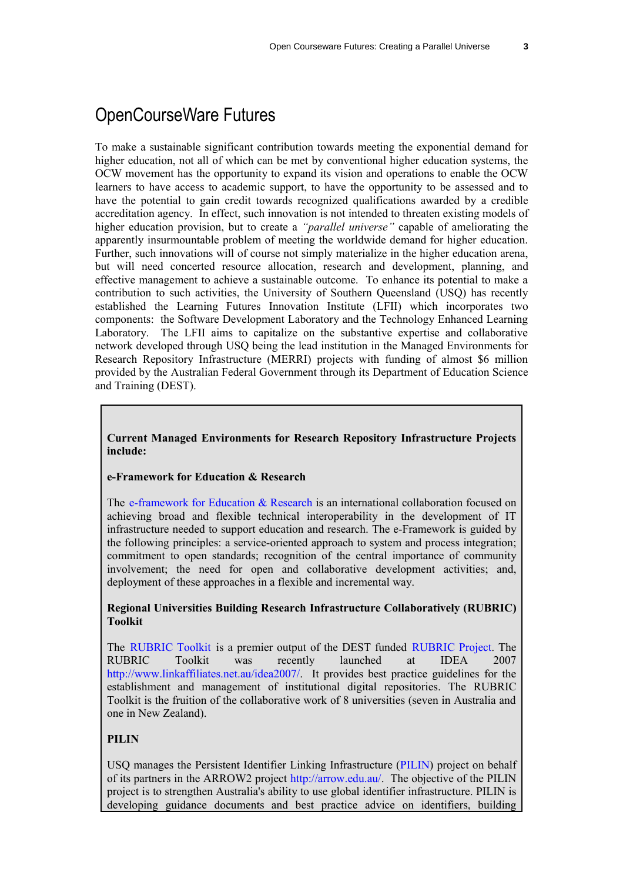## OpenCourseWare Futures

To make a sustainable significant contribution towards meeting the exponential demand for higher education, not all of which can be met by conventional higher education systems, the OCW movement has the opportunity to expand its vision and operations to enable the OCW learners to have access to academic support, to have the opportunity to be assessed and to have the potential to gain credit towards recognized qualifications awarded by a credible accreditation agency. In effect, such innovation is not intended to threaten existing models of higher education provision, but to create a *"parallel universe"* capable of ameliorating the apparently insurmountable problem of meeting the worldwide demand for higher education. Further, such innovations will of course not simply materialize in the higher education arena, but will need concerted resource allocation, research and development, planning, and effective management to achieve a sustainable outcome. To enhance its potential to make a contribution to such activities, the University of Southern Queensland (USQ) has recently established the Learning Futures Innovation Institute (LFII) which incorporates two components: the Software Development Laboratory and the Technology Enhanced Learning Laboratory. The LFII aims to capitalize on the substantive expertise and collaborative network developed through USQ being the lead institution in the Managed Environments for Research Repository Infrastructure (MERRI) projects with funding of almost \$6 million provided by the Australian Federal Government through its Department of Education Science and Training (DEST).

#### **Current Managed Environments for Research Repository Infrastructure Projects include:**

#### **e-Framework for Education & Research**

The [e-framework](http://www.e-framework.org/) for Education & Research is an international collaboration focused on achieving broad and flexible technical interoperability in the development of IT infrastructure needed to support education and research. The e-Framework is guided by the following principles: a service-oriented approach to system and process integration; commitment to open standards; recognition of the central importance of community involvement; the need for open and collaborative development activities; and, deployment of these approaches in a flexible and incremental way.

#### **Regional Universities Building Research Infrastructure Collaboratively (RUBRIC) Toolkit**

The [RUBRIC](http://www.rubric.edu.au/RUBRIC_Toolkit/index.htm) Toolkit is a premier output of the DEST funded [RUBRIC](http://www.rubric.edu.au/) Project. The RUBRIC Toolkit was recently launched at IDEA 2007 [http://www.linkaffiliates.net.au/idea2007/.](http://www.linkaffiliates.net.au/idea2007/) It provides best practice guidelines for the establishment and management of institutional digital repositories. The RUBRIC Toolkit is the fruition of the collaborative work of 8 universities (seven in Australia and one in New Zealand).

#### **PILIN**

USQ manages the Persistent Identifier Linking Infrastructure [\(PILIN\)](http://www.arrow.edu.au/PILIN) project on behalf of its partners in the ARROW2 project [http://arrow.edu.au/.](http://arrow.edu.au/) The objective of the PILIN project is to strengthen Australia's ability to use global identifier infrastructure. PILIN is developing guidance documents and best practice advice on identifiers, building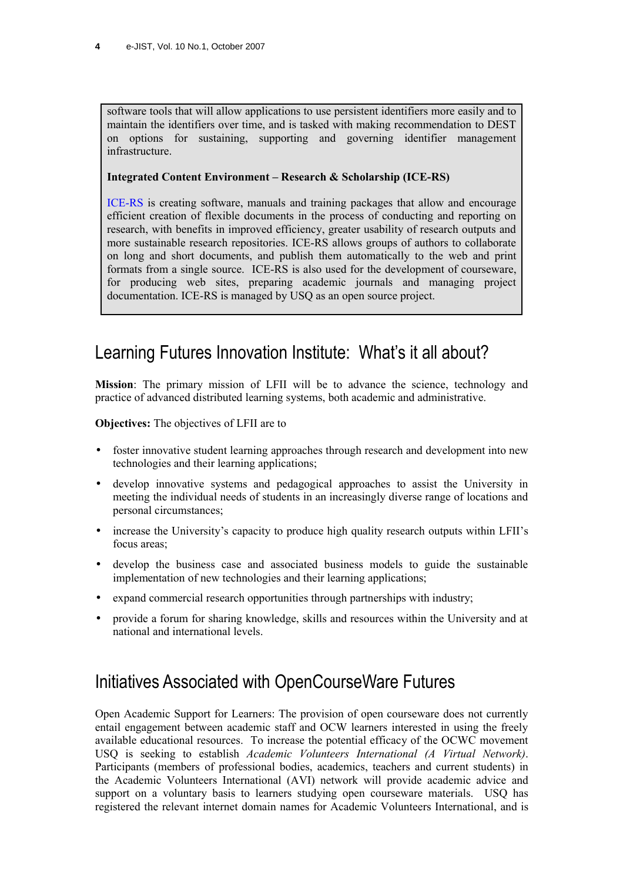software tools that will allow applications to use persistent identifiers more easily and to maintain the identifiers over time, and is tasked with making recommendation to DEST on options for sustaining, supporting and governing identifier management infrastructure.

#### **Integrated Content Environment – Research & Scholarship (ICE-RS)**

[ICE-RS](http://ice.usq.edu.au/introduction/about.htm#id1171856) is creating software, manuals and training packages that allow and encourage efficient creation of flexible documents in the process of conducting and reporting on research, with benefits in improved efficiency, greater usability of research outputs and more sustainable research repositories. ICE-RS allows groups of authors to collaborate on long and short documents, and publish them automatically to the web and print formats from a single source. ICE-RS is also used for the development of courseware, for producing web sites, preparing academic journals and managing project documentation. ICE-RS is managed by USQ as an open source project.

## Learning Futures Innovation Institute: What's it all about?

**Mission**: The primary mission of LFII will be to advance the science, technology and practice of advanced distributed learning systems, both academic and administrative.

**Objectives:** The objectives of LFII are to

- foster innovative student learning approaches through research and development into new technologies and their learning applications;
- develop innovative systems and pedagogical approaches to assist the University in meeting the individual needs of students in an increasingly diverse range of locations and personal circumstances;
- increase the University's capacity to produce high quality research outputs within LFII's focus areas;
- develop the business case and associated business models to guide the sustainable implementation of new technologies and their learning applications;
- expand commercial research opportunities through partnerships with industry;
- provide a forum for sharing knowledge, skills and resources within the University and at national and international levels.

## Initiatives Associated with OpenCourseWare Futures

Open Academic Support for Learners: The provision of open courseware does not currently entail engagement between academic staff and OCW learners interested in using the freely available educational resources. To increase the potential efficacy of the OCWC movement USQ is seeking to establish *Academic Volunteers International (A Virtual Network)*. Participants (members of professional bodies, academics, teachers and current students) in the Academic Volunteers International (AVI) network will provide academic advice and support on a voluntary basis to learners studying open courseware materials. USQ has registered the relevant internet domain names for Academic Volunteers International, and is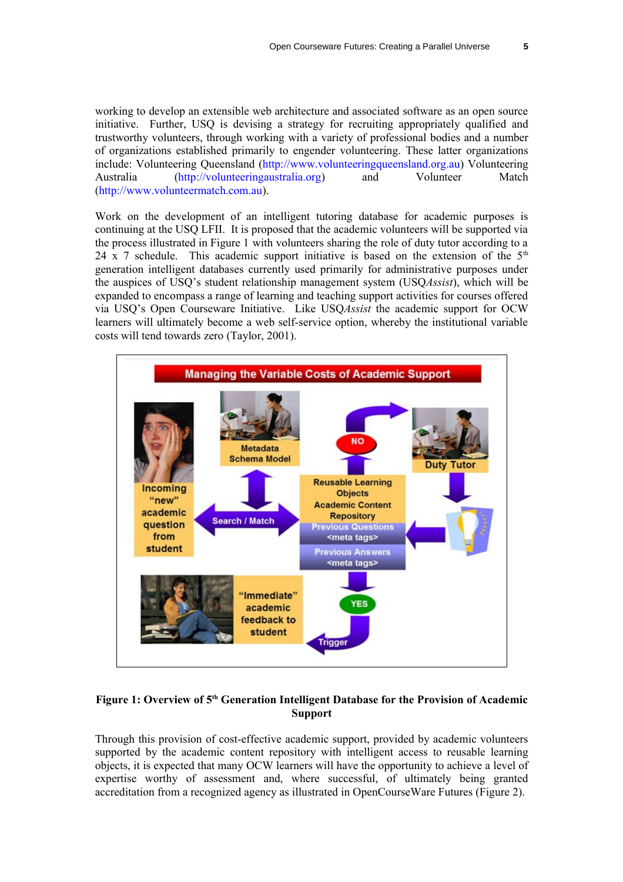working to develop an extensible web architecture and associated software as an open source initiative. Further, USQ is devising a strategy for recruiting appropriately qualified and trustworthy volunteers, through working with a variety of professional bodies and a number of organizations established primarily to engender volunteering. These latter organizations include: Volunteering Queensland [\(http://www.volunteeringqueensland.org.au\)](http://www.volunteeringqueensland.org.au/) Volunteering Australia [\(http://volunteeringaustralia.org\)](http://volunteeringaustralia.org/) and Volunteer Match [\(http://www.volunteermatch.com.au\)](http://www.volunteermatch.com.au/).

Work on the development of an intelligent tutoring database for academic purposes is continuing at the USQ LFII. It is proposed that the academic volunteers will be supported via the process illustrated in Figure 1 with volunteers sharing the role of duty tutor according to a 24 x 7 schedule. This academic support initiative is based on the extension of the  $5<sup>th</sup>$ generation intelligent databases currently used primarily for administrative purposes under the auspices of USQ's student relationship management system (USQ*Assist*), which will be expanded to encompass a range of learning and teaching support activities for courses offered via USQ's Open Courseware Initiative. Like USQ*Assist* the academic support for OCW learners will ultimately become a web self-service option, whereby the institutional variable costs will tend towards zero (Taylor, 2001).



#### **Figure 1: Overview of 5 th Generation Intelligent Database for the Provision of Academic Support**

Through this provision of cost-effective academic support, provided by academic volunteers supported by the academic content repository with intelligent access to reusable learning objects, it is expected that many OCW learners will have the opportunity to achieve a level of expertise worthy of assessment and, where successful, of ultimately being granted accreditation from a recognized agency as illustrated in OpenCourseWare Futures (Figure 2).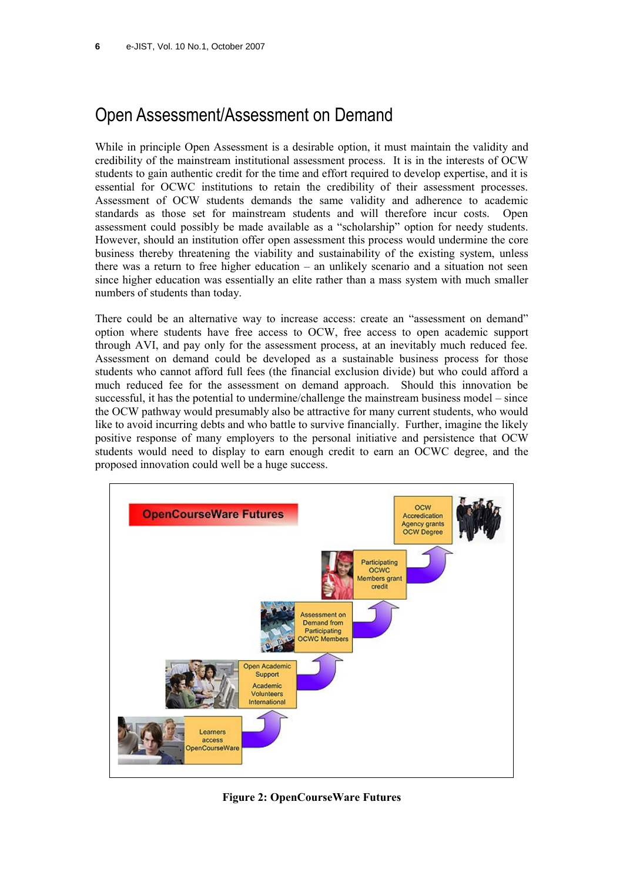# Open Assessment/Assessment on Demand

While in principle Open Assessment is a desirable option, it must maintain the validity and credibility of the mainstream institutional assessment process. It is in the interests of OCW students to gain authentic credit for the time and effort required to develop expertise, and it is essential for OCWC institutions to retain the credibility of their assessment processes. Assessment of OCW students demands the same validity and adherence to academic standards as those set for mainstream students and will therefore incur costs. Open assessment could possibly be made available as a "scholarship" option for needy students. However, should an institution offer open assessment this process would undermine the core business thereby threatening the viability and sustainability of the existing system, unless there was a return to free higher education – an unlikely scenario and a situation not seen since higher education was essentially an elite rather than a mass system with much smaller numbers of students than today.

There could be an alternative way to increase access: create an "assessment on demand" option where students have free access to OCW, free access to open academic support through AVI, and pay only for the assessment process, at an inevitably much reduced fee. Assessment on demand could be developed as a sustainable business process for those students who cannot afford full fees (the financial exclusion divide) but who could afford a much reduced fee for the assessment on demand approach. Should this innovation be successful, it has the potential to undermine/challenge the mainstream business model – since the OCW pathway would presumably also be attractive for many current students, who would like to avoid incurring debts and who battle to survive financially. Further, imagine the likely positive response of many employers to the personal initiative and persistence that OCW students would need to display to earn enough credit to earn an OCWC degree, and the proposed innovation could well be a huge success.



**Figure 2: OpenCourseWare Futures**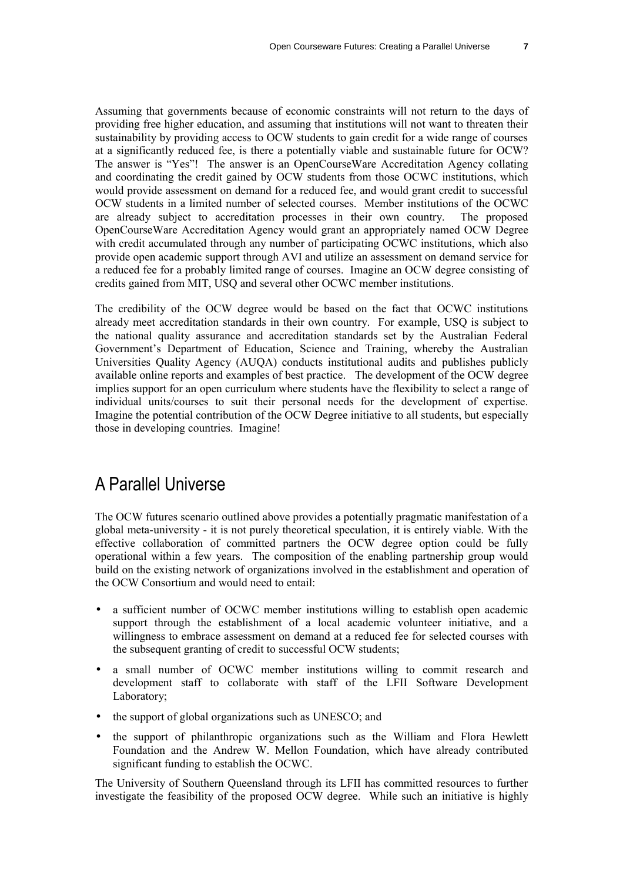Assuming that governments because of economic constraints will not return to the days of providing free higher education, and assuming that institutions will not want to threaten their sustainability by providing access to OCW students to gain credit for a wide range of courses at a significantly reduced fee, is there a potentially viable and sustainable future for OCW? The answer is "Yes"! The answer is an OpenCourseWare Accreditation Agency collating and coordinating the credit gained by OCW students from those OCWC institutions, which would provide assessment on demand for a reduced fee, and would grant credit to successful OCW students in a limited number of selected courses. Member institutions of the OCWC are already subject to accreditation processes in their own country. The proposed OpenCourseWare Accreditation Agency would grant an appropriately named OCW Degree with credit accumulated through any number of participating OCWC institutions, which also provide open academic support through AVI and utilize an assessment on demand service for a reduced fee for a probably limited range of courses. Imagine an OCW degree consisting of credits gained from MIT, USQ and several other OCWC member institutions.

The credibility of the OCW degree would be based on the fact that OCWC institutions already meet accreditation standards in their own country. For example, USQ is subject to the national quality assurance and accreditation standards set by the Australian Federal Government's Department of Education, Science and Training, whereby the Australian Universities Quality Agency (AUQA) conducts institutional audits and publishes publicly available online reports and examples of best practice. The development of the OCW degree implies support for an open curriculum where students have the flexibility to select a range of individual units/courses to suit their personal needs for the development of expertise. Imagine the potential contribution of the OCW Degree initiative to all students, but especially those in developing countries. Imagine!

## A Parallel Universe

The OCW futures scenario outlined above provides a potentially pragmatic manifestation of a global meta-university - it is not purely theoretical speculation, it is entirely viable. With the effective collaboration of committed partners the OCW degree option could be fully operational within a few years. The composition of the enabling partnership group would build on the existing network of organizations involved in the establishment and operation of the OCW Consortium and would need to entail:

- a sufficient number of OCWC member institutions willing to establish open academic support through the establishment of a local academic volunteer initiative, and a willingness to embrace assessment on demand at a reduced fee for selected courses with the subsequent granting of credit to successful OCW students;
- a small number of OCWC member institutions willing to commit research and development staff to collaborate with staff of the LFII Software Development Laboratory;
- the support of global organizations such as UNESCO; and
- the support of philanthropic organizations such as the William and Flora Hewlett Foundation and the Andrew W. Mellon Foundation, which have already contributed significant funding to establish the OCWC.

The University of Southern Queensland through its LFII has committed resources to further investigate the feasibility of the proposed OCW degree. While such an initiative is highly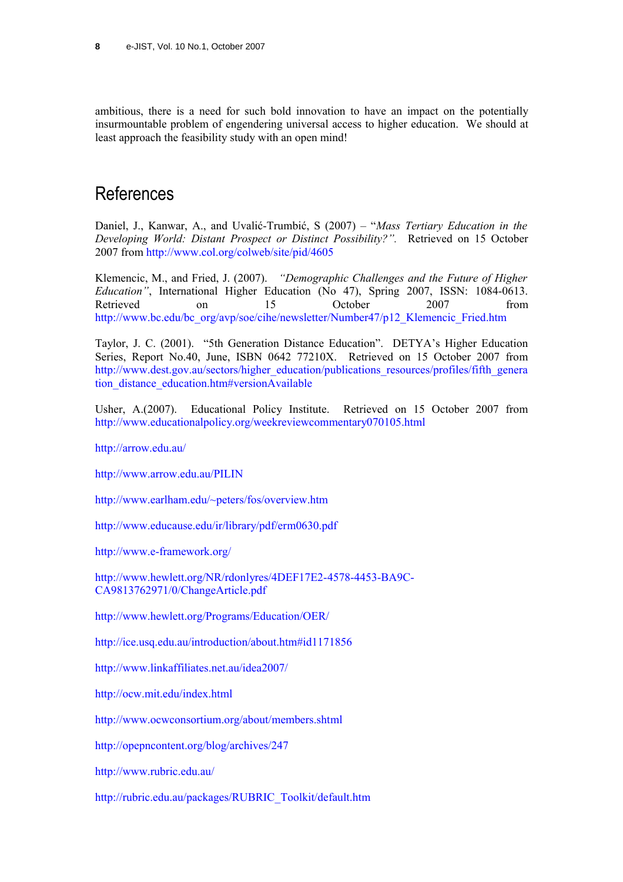ambitious, there is a need for such bold innovation to have an impact on the potentially insurmountable problem of engendering universal access to higher education. We should at least approach the feasibility study with an open mind!

### **References**

Daniel, J., Kanwar, A., and Uvalić-Trumbić, S (2007) – "*Mass Tertiary Education in the Developing World: Distant Prospect or Distinct Possibility?".* Retrieved on 15 October 2007 from <http://www.col.org/colweb/site/pid/4605>

Klemencic, M., and Fried, J. (2007). *"Demographic Challenges and the Future of Higher Education"*, International Higher Education (No 47), Spring 2007, ISSN: 1084-0613. Retrieved on 15 October 2007 from [http://www.bc.edu/bc\\_org/avp/soe/cihe/newsletter/Number47/p12\\_Klemencic\\_Fried.htm](http://www.bc.edu/bc_org/avp/soe/cihe/newsletter/Number47/p12_Klemencic_Fried.htm)

Taylor, J. C. (2001). "5th Generation Distance Education". DETYA's Higher Education Series, Report No.40, June, ISBN 0642 77210X. Retrieved on 15 October 2007 from [http://www.dest.gov.au/sectors/higher\\_education/publications\\_resources/profiles/fifth\\_genera](http://www.dest.gov.au/sectors/higher_education/publications_resources/profiles/fifth_generation_distance_education.htm#versionAvailable) [tion\\_distance\\_education.htm#versionAvailable](http://www.dest.gov.au/sectors/higher_education/publications_resources/profiles/fifth_generation_distance_education.htm#versionAvailable)

Usher, A.(2007). Educational Policy Institute. Retrieved on 15 October 2007 from <http://www.educationalpolicy.org/weekreviewcommentary070105.html>

<http://arrow.edu.au/>

<http://www.arrow.edu.au/PILIN>

<http://www.earlham.edu/~peters/fos/overview.htm>

http://www.educause.edu/ir/library/pdf/erm0630.pdf

<http://www.e-framework.org/>

[http://www.hewlett.org/NR/rdonlyres/4DEF17E2-4578-4453-BA9C-](http://www.hewlett.org/NR/rdonlyres/4DEF17E2-4578-4453-BA9C-CA9813762971/0/ChangeArticle.pdf)[CA9813762971/0/ChangeArticle.pdf](http://www.hewlett.org/NR/rdonlyres/4DEF17E2-4578-4453-BA9C-CA9813762971/0/ChangeArticle.pdf)

<http://www.hewlett.org/Programs/Education/OER/>

<http://ice.usq.edu.au/introduction/about.htm#id1171856>

<http://www.linkaffiliates.net.au/idea2007/>

<http://ocw.mit.edu/index.html>

<http://www.ocwconsortium.org/about/members.shtml>

<http://opepncontent.org/blog/archives/247>

<http://www.rubric.edu.au/>

[http://rubric.edu.au/packages/RUBRIC\\_Toolkit/default.htm](http://rubric.edu.au/packages/RUBRIC_Toolkit/default.htm)